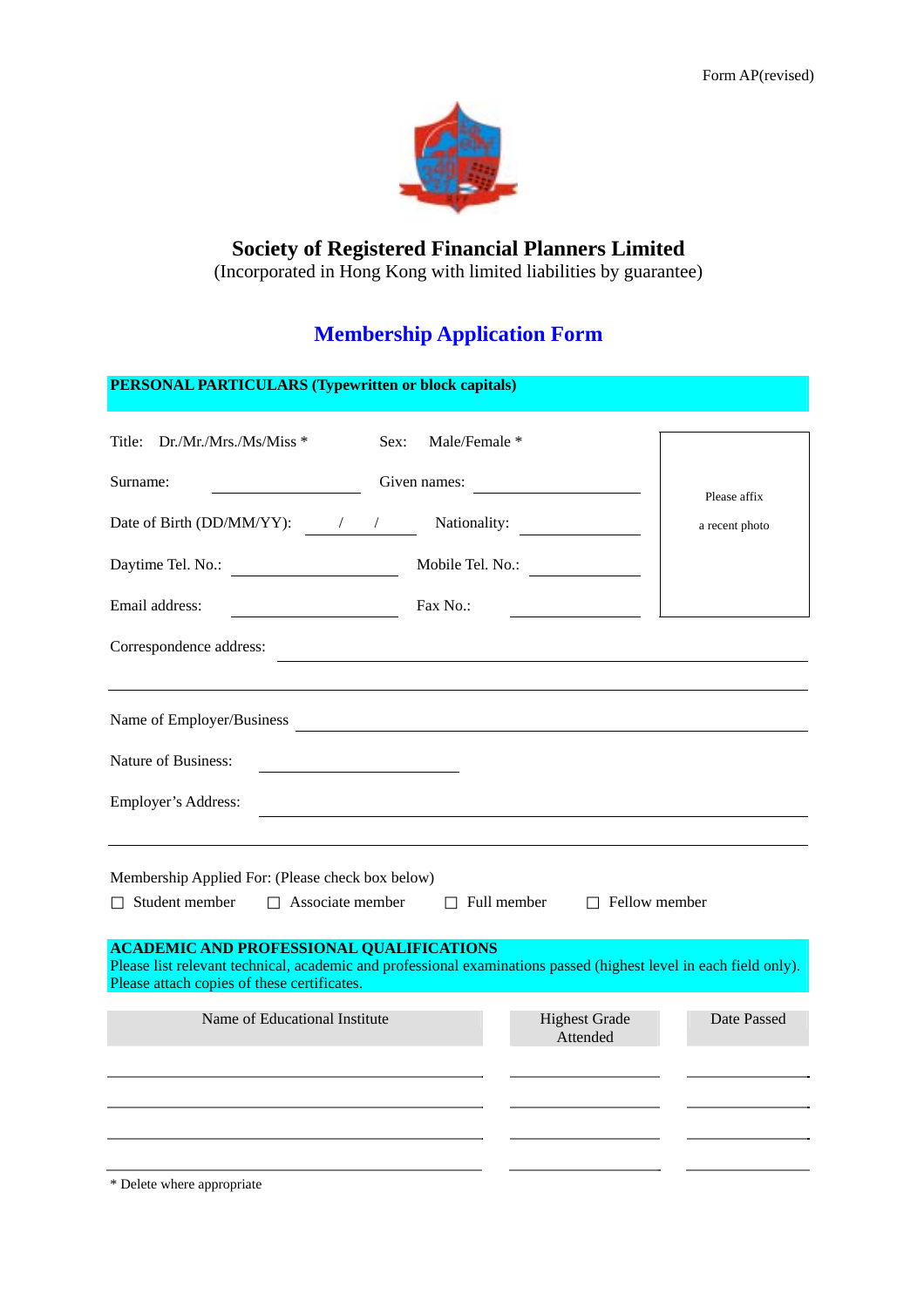

## **Society of Registered Financial Planners Limited**

(Incorporated in Hong Kong with limited liabilities by guarantee)

# **Membership Application Form**

| <b>PERSONAL PARTICULARS (Typewritten or block capitals)</b>                                                                                                                                                         |                                                       |                                  |                |
|---------------------------------------------------------------------------------------------------------------------------------------------------------------------------------------------------------------------|-------------------------------------------------------|----------------------------------|----------------|
| Title: Dr./Mr./Mrs./Ms/Miss *                                                                                                                                                                                       | Male/Female *<br>Sex:                                 |                                  |                |
| Surname:<br><u> 1990 - Johann Barbara, martin a</u>                                                                                                                                                                 | Given names:                                          |                                  | Please affix   |
| Date of Birth (DD/MM/YY): $\frac{1}{2}$ /                                                                                                                                                                           |                                                       | Nationality:                     | a recent photo |
| Daytime Tel. No.:                                                                                                                                                                                                   |                                                       | Mobile Tel. No.:                 |                |
| Email address:                                                                                                                                                                                                      | Fax No.:                                              |                                  |                |
| Correspondence address:                                                                                                                                                                                             | <u> 1989 - Jan Barbara Barat, manazar amerikan da</u> |                                  |                |
| Name of Employer/Business                                                                                                                                                                                           |                                                       |                                  |                |
| Nature of Business:                                                                                                                                                                                                 |                                                       |                                  |                |
| Employer's Address:                                                                                                                                                                                                 |                                                       |                                  |                |
| Membership Applied For: (Please check box below)                                                                                                                                                                    |                                                       |                                  |                |
| Student member<br>Associate member                                                                                                                                                                                  |                                                       | Full member                      | Fellow member  |
| <b>ACADEMIC AND PROFESSIONAL QUALIFICATIONS</b><br>Please list relevant technical, academic and professional examinations passed (highest level in each field only).<br>Please attach copies of these certificates. |                                                       |                                  |                |
| Name of Educational Institute                                                                                                                                                                                       |                                                       | <b>Highest Grade</b><br>Attended | Date Passed    |
|                                                                                                                                                                                                                     |                                                       |                                  |                |
|                                                                                                                                                                                                                     |                                                       |                                  |                |
|                                                                                                                                                                                                                     |                                                       |                                  |                |

\* Delete where appropriate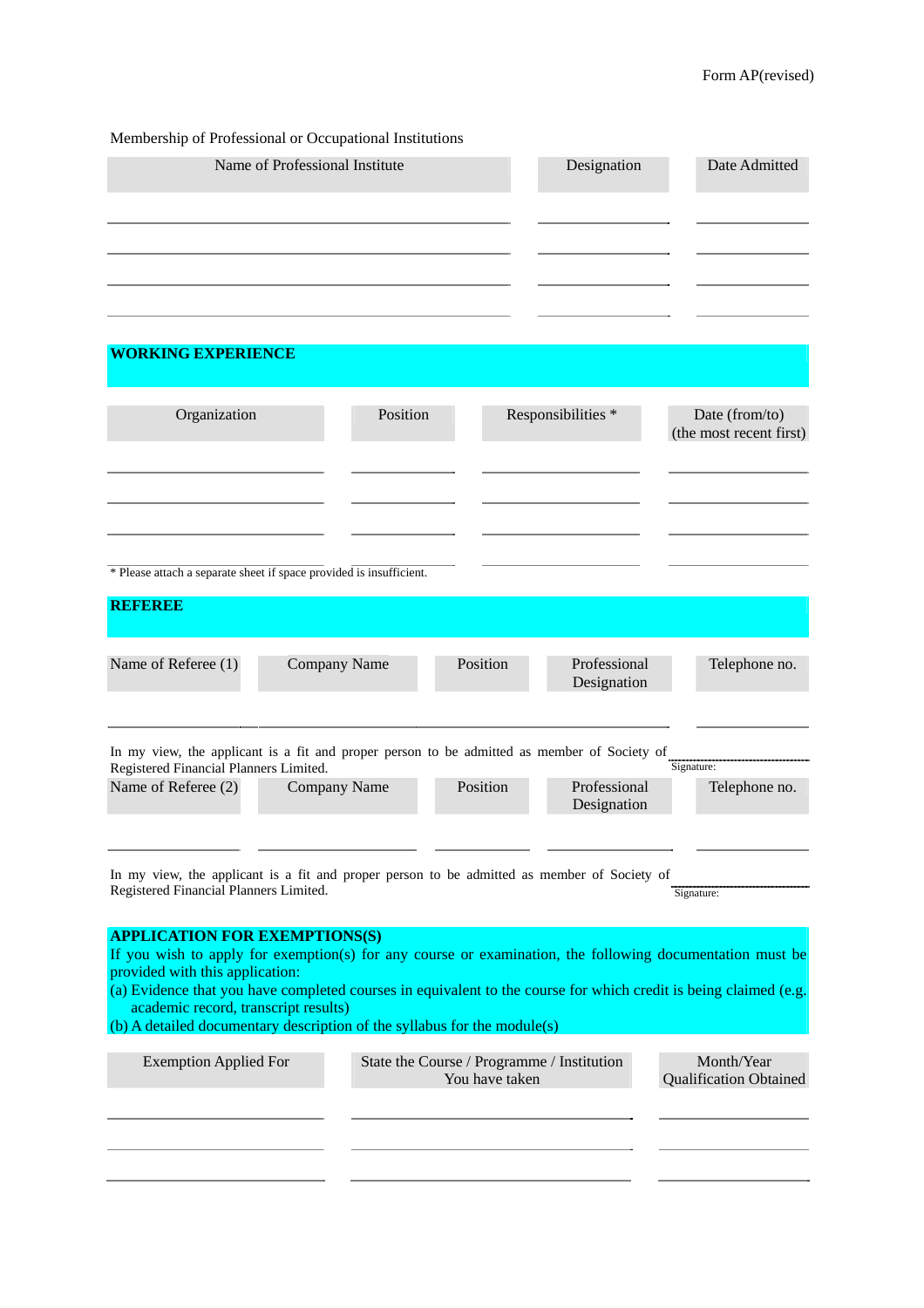| Membership of Professional or Occupational Institutions |             |               |  |  |  |  |
|---------------------------------------------------------|-------------|---------------|--|--|--|--|
| Name of Professional Institute                          | Designation | Date Admitted |  |  |  |  |
|                                                         |             |               |  |  |  |  |
|                                                         |             |               |  |  |  |  |
|                                                         |             |               |  |  |  |  |
|                                                         |             |               |  |  |  |  |

## **WORKING EXPERIENCE**

| Organization                                                                                                                                                                                                                         |                     | Position                                                                   |          | Responsibilities *          | Date (from/to)<br>(the most recent first) |  |  |
|--------------------------------------------------------------------------------------------------------------------------------------------------------------------------------------------------------------------------------------|---------------------|----------------------------------------------------------------------------|----------|-----------------------------|-------------------------------------------|--|--|
|                                                                                                                                                                                                                                      |                     |                                                                            |          |                             |                                           |  |  |
|                                                                                                                                                                                                                                      |                     |                                                                            |          |                             |                                           |  |  |
| * Please attach a separate sheet if space provided is insufficient.                                                                                                                                                                  |                     |                                                                            |          |                             |                                           |  |  |
| REFERE                                                                                                                                                                                                                               |                     |                                                                            |          |                             |                                           |  |  |
| Name of Referee (1)                                                                                                                                                                                                                  | <b>Company Name</b> |                                                                            | Position | Professional<br>Designation | Telephone no.                             |  |  |
|                                                                                                                                                                                                                                      |                     |                                                                            |          |                             |                                           |  |  |
| In my view, the applicant is a fit and proper person to be admitted as member of Society of<br>Registered Financial Planners Limited.                                                                                                |                     |                                                                            |          |                             | Signature:                                |  |  |
| Name of Referee (2)                                                                                                                                                                                                                  | <b>Company Name</b> |                                                                            | Position | Professional<br>Designation | Telephone no.                             |  |  |
| In my view, the applicant is a fit and proper person to be admitted as member of Society of<br>Registered Financial Planners Limited.                                                                                                |                     |                                                                            |          |                             | Signature:                                |  |  |
| <b>APPLICATION FOR EXEMPTIONS(S)</b><br>If you wish to apply for exemption(s) for any course or examination, the following documentation must be<br>provided with this application:                                                  |                     |                                                                            |          |                             |                                           |  |  |
| (a) Evidence that you have completed courses in equivalent to the course for which credit is being claimed (e.g.<br>academic record, transcript results)<br>(b) A detailed documentary description of the syllabus for the module(s) |                     |                                                                            |          |                             |                                           |  |  |
| <b>Exemption Applied For</b>                                                                                                                                                                                                         |                     | Month/Year<br>State the Course / Programme / Institution<br>You have taken |          |                             | <b>Qualification Obtained</b>             |  |  |
|                                                                                                                                                                                                                                      |                     |                                                                            |          |                             |                                           |  |  |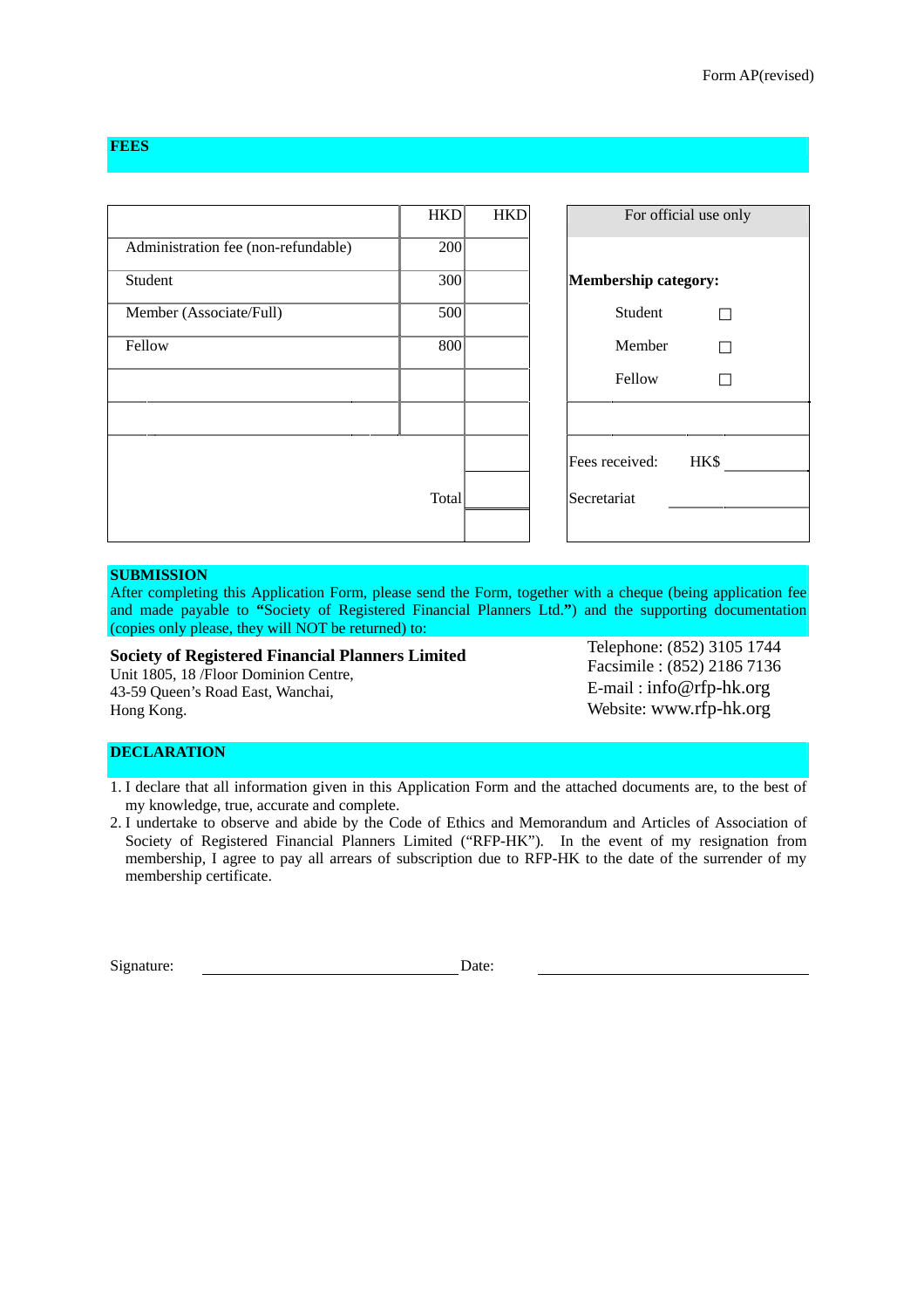## **FEES**

|                                     | <b>HKD</b>       | <b>HKD</b> | For official use only       |
|-------------------------------------|------------------|------------|-----------------------------|
| Administration fee (non-refundable) | 200 <sup>1</sup> |            |                             |
| Student                             | 300 <sup>1</sup> |            | <b>Membership category:</b> |
| Member (Associate/Full)             | 500              |            | Student                     |
| Fellow                              | 800 <sup>1</sup> |            | Member                      |
|                                     |                  |            | Fellow                      |
|                                     |                  |            |                             |
|                                     |                  |            | Fees received:<br>HK\$      |
| Total                               |                  |            | Secretariat                 |
|                                     |                  |            |                             |

### **SUBMISSION**

After completing this Application Form, please send the Form, together with a cheque (being application fee and made payable to **"**Society of Registered Financial Planners Ltd.**"**) and the supporting documentation (copies only please, they will NOT be returned) to:

#### **Society of Registered Financial Planners Limited**

Unit 1805, 18 /Floor Dominion Centre, 43-59 Queen's Road East, Wanchai, Hong Kong.

Telephone: (852) 3105 1744 Facsimile : (852) 2186 7136 E-mail : [info@rfp-hk.org](mailto:info@rfp-hk.org) Website: [www.rfp-hk.org](http://www.rfp-hk.org/)

## **DECLARATION**

1. I declare that all information given in this Application Form and the attached documents are, to the best of my knowledge, true, accurate and complete.

2. I undertake to observe and abide by the Code of Ethics and Memorandum and Articles of Association of Society of Registered Financial Planners Limited ("RFP-HK"). In the event of my resignation from membership, I agree to pay all arrears of subscription due to RFP-HK to the date of the surrender of my membership certificate.

Signature:

Date: